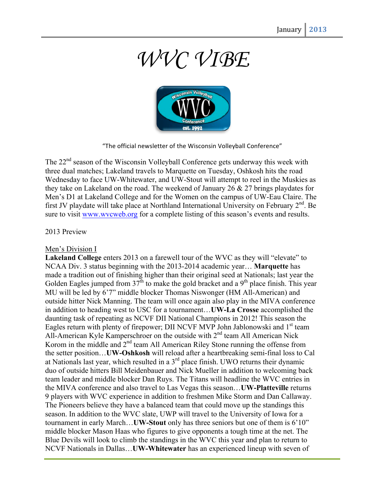# *WVC VIBE*



"The official newsletter of the Wisconsin Volleyball Conference"

The 22<sup>nd</sup> season of the Wisconsin Volleyball Conference gets underway this week with three dual matches; Lakeland travels to Marquette on Tuesday, Oshkosh hits the road Wednesday to face UW-Whitewater, and UW-Stout will attempt to reel in the Muskies as they take on Lakeland on the road. The weekend of January 26  $\&$  27 brings playdates for Men's D1 at Lakeland College and for the Women on the campus of UW-Eau Claire. The first JV playdate will take place at Northland International University on February 2<sup>nd</sup>. Be sure to visit www.wvcweb.org for a complete listing of this season's events and results.

## 2013 Preview

### Men's Division I

**Lakeland College** enters 2013 on a farewell tour of the WVC as they will "elevate" to NCAA Div. 3 status beginning with the 2013-2014 academic year… **Marquette** has made a tradition out of finishing higher than their original seed at Nationals; last year the Golden Eagles jumped from  $37<sup>th</sup>$  to make the gold bracket and a 9<sup>th</sup> place finish. This year MU will be led by 6'7" middle blocker Thomas Niswonger (HM All-American) and outside hitter Nick Manning. The team will once again also play in the MIVA conference in addition to heading west to USC for a tournament…**UW-La Crosse** accomplished the daunting task of repeating as NCVF DII National Champions in 2012! This season the Eagles return with plenty of firepower; DII NCVF MVP John Jablonowski and 1<sup>st</sup> team All-American Kyle Kamperschroer on the outside with  $2<sup>nd</sup>$  team All American Nick Korom in the middle and  $2<sup>nd</sup>$  team All American Riley Stone running the offense from the setter position…**UW-Oshkosh** will reload after a heartbreaking semi-final loss to Cal at Nationals last year, which resulted in a 3rd place finish. UWO returns their dynamic duo of outside hitters Bill Meidenbauer and Nick Mueller in addition to welcoming back team leader and middle blocker Dan Ruys. The Titans will headline the WVC entries in the MIVA conference and also travel to Las Vegas this season…**UW-Platteville** returns 9 players with WVC experience in addition to freshmen Mike Storm and Dan Callaway. The Pioneers believe they have a balanced team that could move up the standings this season. In addition to the WVC slate, UWP will travel to the University of Iowa for a tournament in early March…**UW-Stout** only has three seniors but one of them is 6'10" middle blocker Mason Haas who figures to give opponents a tough time at the net. The Blue Devils will look to climb the standings in the WVC this year and plan to return to NCVF Nationals in Dallas…**UW-Whitewater** has an experienced lineup with seven of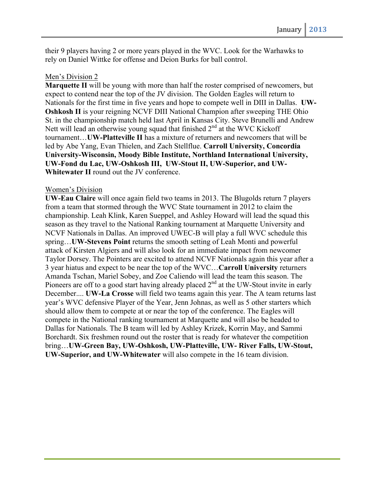their 9 players having 2 or more years played in the WVC. Look for the Warhawks to rely on Daniel Wittke for offense and Deion Burks for ball control.

#### Men's Division 2

**Marquette II** will be young with more than half the roster comprised of newcomers, but expect to contend near the top of the JV division. The Golden Eagles will return to Nationals for the first time in five years and hope to compete well in DIII in Dallas. **UW-Oshkosh II** is your reigning NCVF DIII National Champion after sweeping THE Ohio St. in the championship match held last April in Kansas City. Steve Brunelli and Andrew Nett will lead an otherwise young squad that finished  $2<sup>nd</sup>$  at the WVC Kickoff tournament…**UW-Platteville II** has a mixture of returners and newcomers that will be led by Abe Yang, Evan Thielen, and Zach Stellflue. **Carroll University, Concordia University-Wisconsin, Moody Bible Institute, Northland International University, UW-Fond du Lac, UW-Oshkosh III, UW-Stout II, UW-Superior, and UW-Whitewater II** round out the JV conference.

#### Women's Division

**UW-Eau Claire** will once again field two teams in 2013. The Blugolds return 7 players from a team that stormed through the WVC State tournament in 2012 to claim the championship. Leah Klink, Karen Sueppel, and Ashley Howard will lead the squad this season as they travel to the National Ranking tournament at Marquette University and NCVF Nationals in Dallas. An improved UWEC-B will play a full WVC schedule this spring…**UW-Stevens Point** returns the smooth setting of Leah Monti and powerful attack of Kirsten Algiers and will also look for an immediate impact from newcomer Taylor Dorsey. The Pointers are excited to attend NCVF Nationals again this year after a 3 year hiatus and expect to be near the top of the WVC…**Carroll University** returners Amanda Tschan, Mariel Sobey, and Zoe Caliendo will lead the team this season. The Pioneers are off to a good start having already placed  $2<sup>nd</sup>$  at the UW-Stout invite in early December.... **UW-La Crosse** will field two teams again this year. The A team returns last year's WVC defensive Player of the Year, Jenn Johnas, as well as 5 other starters which should allow them to compete at or near the top of the conference. The Eagles will compete in the National ranking tournament at Marquette and will also be headed to Dallas for Nationals. The B team will led by Ashley Krizek, Korrin May, and Sammi Borchardt. Six freshmen round out the roster that is ready for whatever the competition bring…**UW-Green Bay, UW-Oshkosh, UW-Platteville, UW- River Falls, UW-Stout, UW-Superior, and UW-Whitewater** will also compete in the 16 team division.